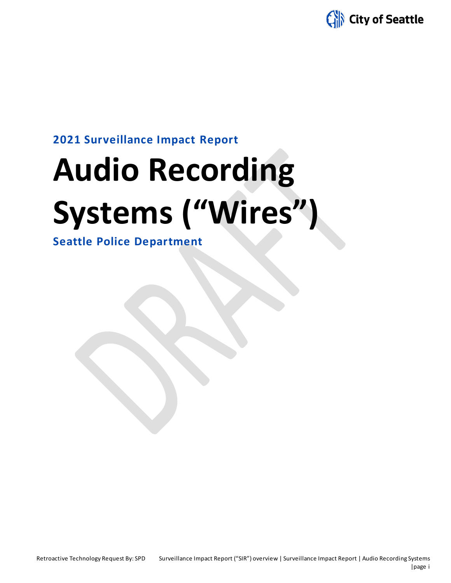

### **2021 Surveillance Impact Report**

# **Audio Recording Systems ("Wires")**

**Seattle Police Department**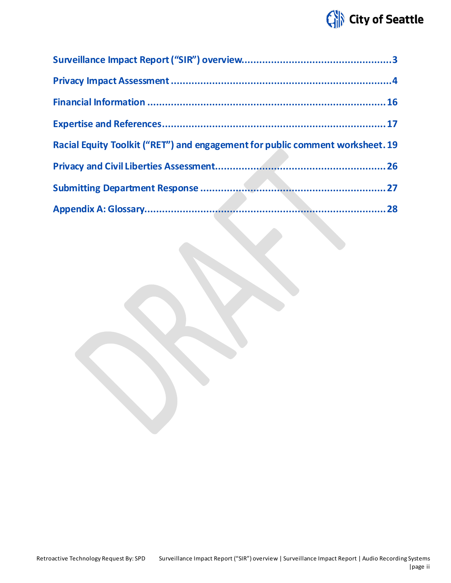## City of Seattle

| Racial Equity Toolkit ("RET") and engagement for public comment worksheet. 19 |  |
|-------------------------------------------------------------------------------|--|
|                                                                               |  |
|                                                                               |  |
|                                                                               |  |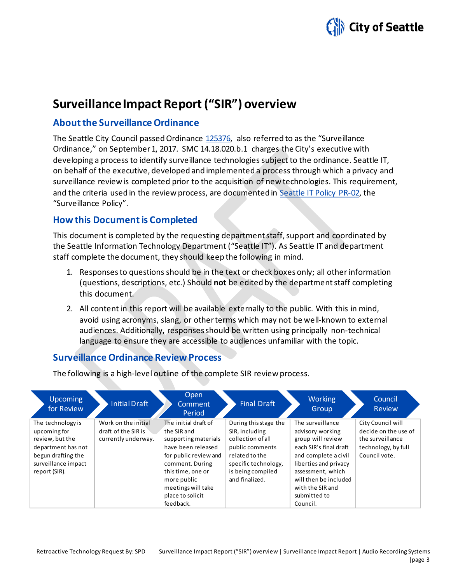

## <span id="page-2-0"></span>**Surveillance Impact Report ("SIR") overview**

#### **About the Surveillance Ordinance**

The Seattle City Council passed Ordinance [125376,](http://seattle.legistar.com/LegislationDetail.aspx?ID=2981172&GUID=0B2FEFC0-822F-4907-9409-E318537E5330&Options=Advanced&Search=) also referred to as the "Surveillance Ordinance," on September1, 2017. SMC 14.18.020.b.1 charges the City's executive with developing a process to identify surveillance technologies subject to the ordinance. Seattle IT, on behalf of the executive, developed and implemented a process through which a privacy and surveillance review is completed prior to the acquisition of new technologies. This requirement, and the criteria used in the review process, are documented in Seattle IT [Policy PR-02,](https://seattlegov.sharepoint.com/sites/IT-CDR/Operating_Docs/PR-02SurveillancePolicy.pdf) the "Surveillance Policy".

#### **How this Document is Completed**

This document is completed by the requesting department staff, support and coordinated by the Seattle Information Technology Department ("Seattle IT"). As Seattle IT and department staff complete the document, they should keep the following in mind.

- 1. Responses to questions should be in the text or check boxes only; all other information (questions, descriptions, etc.) Should **not** be edited by the department staff completing this document.
- 2. All content in this report will be available externally to the public. With this in mind, avoid using acronyms, slang, or other terms which may not be well-known to external audiences. Additionally, responses should be written using principally non-technical language to ensure they are accessible to audiences unfamiliar with the topic.

#### **Surveillance Ordinance Review Process**

The following is a high-level outline of the complete SIR review process.

| Upcoming<br>for Review                                                                                                                   | Initial Draft                                                     | <b>Open</b><br>Comment<br>Period                                                                                                                                                                                         | <b>Final Draft</b>                                                                                                                                               | <b>Working</b><br>Group                                                                                                                                                                                                            | Council<br><b>Review</b>                                                                              |
|------------------------------------------------------------------------------------------------------------------------------------------|-------------------------------------------------------------------|--------------------------------------------------------------------------------------------------------------------------------------------------------------------------------------------------------------------------|------------------------------------------------------------------------------------------------------------------------------------------------------------------|------------------------------------------------------------------------------------------------------------------------------------------------------------------------------------------------------------------------------------|-------------------------------------------------------------------------------------------------------|
| The technology is<br>upcoming for<br>review, but the<br>department has not<br>begun drafting the<br>surveillance impact<br>report (SIR). | Work on the initial<br>draft of the SIR is<br>currently underway. | The initial draft of<br>the SIR and<br>supporting materials<br>have been released<br>for public review and<br>comment. During<br>this time, one or<br>more public<br>meetings will take<br>place to solicit<br>feedback. | During this stage the<br>SIR, including<br>collection of all<br>public comments<br>related to the<br>specific technology,<br>is being compiled<br>and finalized. | The surveillance<br>advisory working<br>group will review<br>each SIR's final draft<br>and complete a civil<br>liberties and privacy<br>assessment, which<br>will then be included<br>with the SIR and<br>submitted to<br>Council. | City Council will<br>decide on the use of<br>the surveillance<br>technology, by full<br>Council vote. |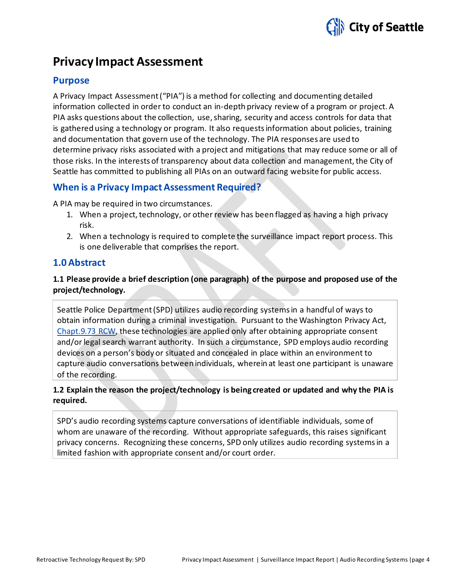

## <span id="page-3-0"></span>**Privacy Impact Assessment**

#### **Purpose**

A Privacy Impact Assessment ("PIA") is a method for collecting and documenting detailed information collected in order to conduct an in-depth privacy review of a program or project. A PIA asks questions about the collection, use, sharing, security and access controls for data that is gathered using a technology or program. It also requests information about policies, training and documentation that govern use of the technology. The PIA responses are used to determine privacy risks associated with a project and mitigations that may reduce some or all of those risks. In the interests of transparency about data collection and management, the City of Seattle has committed to publishing all PIAs on an outward facing website for public access.

#### **When is a Privacy Impact Assessment Required?**

A PIA may be required in two circumstances.

- 1. When a project, technology, or other review has been flagged as having a high privacy risk.
- 2. When a technology is required to complete the surveillance impact report process. This is one deliverable that comprises the report.

#### **1.0 Abstract**

#### **1.1 Please provide a brief description (one paragraph) of the purpose and proposed use of the project/technology.**

Seattle Police Department (SPD) utilizes audio recording systems in a handful of ways to obtain information during a criminal investigation. Pursuant to the Washington Privacy Act, [Chapt.9.73 RCW,](http://app.leg.wa.gov/rcw/default.aspx?cite=9.73) these technologies are applied only after obtaining appropriate consent and/or legal search warrant authority. In such a circumstance, SPD employs audio recording devices on a person's body or situated and concealed in place within an environment to capture audio conversations between individuals, wherein at least one participant is unaware of the recording.

#### **1.2 Explain the reason the project/technology is being created or updated and why the PIA is required.**

SPD's audio recording systems capture conversations of identifiable individuals, some of whom are unaware of the recording. Without appropriate safeguards, this raises significant privacy concerns. Recognizing these concerns, SPD only utilizes audio recording systems in a limited fashion with appropriate consent and/or court order.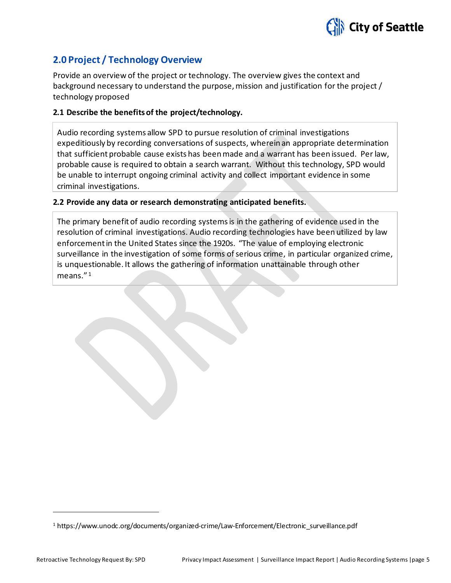

#### **2.0 Project / Technology Overview**

Provide an overview of the project or technology. The overview gives the context and background necessary to understand the purpose, mission and justification for the project / technology proposed

#### **2.1 Describe the benefits of the project/technology.**

Audio recording systems allow SPD to pursue resolution of criminal investigations expeditiously by recording conversations of suspects, wherein an appropriate determination that sufficient probable cause exists has been made and a warrant has been issued. Per law, probable cause is required to obtain a search warrant. Without this technology, SPD would be unable to interrupt ongoing criminal activity and collect important evidence in some criminal investigations.

#### **2.2 Provide any data or research demonstrating anticipated benefits.**

The primary benefit of audio recording systems is in the gathering of evidence used in the resolution of criminal investigations. Audio recording technologies have been utilized by law enforcement in the United States since the 1920s. "The value of employing electronic surveillance in the investigation of some forms of serious crime, in particular organized crime, is unquestionable. It allows the gathering of information unattainable through other means." [1](#page-4-0)

<span id="page-4-0"></span><sup>1</sup> https://www.unodc.org/documents/organized-crime/Law-Enforcement/Electronic\_surveillance.pdf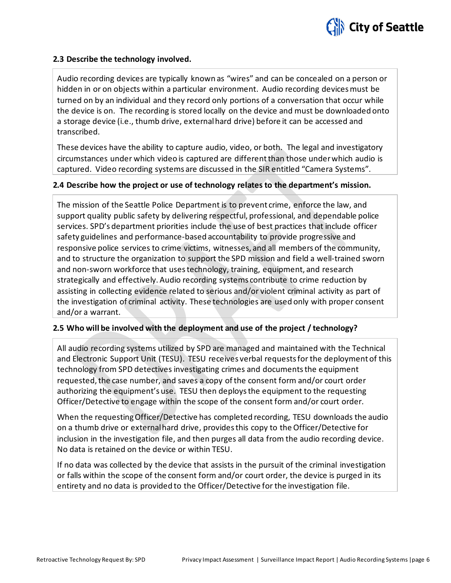

#### **2.3 Describe the technology involved.**

Audio recording devices are typically known as "wires" and can be concealed on a person or hidden in or on objects within a particular environment. Audio recording devices must be turned on by an individual and they record only portions of a conversation that occur while the device is on. The recording is stored locally on the device and must be downloaded onto a storage device (i.e., thumb drive, external hard drive) before it can be accessed and transcribed.

These devices have the ability to capture audio, video, or both. The legal and investigatory circumstances under which video is captured are different than those under which audio is captured. Video recording systems are discussed in the SIR entitled "Camera Systems".

#### **2.4 Describe how the project or use of technology relates to the department's mission.**

The mission of the Seattle Police Department is to prevent crime, enforce the law, and support quality public safety by delivering respectful, professional, and dependable police services. SPD's department priorities include the use of best practices that include officer safety guidelines and performance-based accountability to provide progressive and responsive police services to crime victims, witnesses, and all members of the community, and to structure the organization to support the SPD mission and field a well-trained sworn and non-sworn workforce that uses technology, training, equipment, and research strategically and effectively. Audio recording systems contribute to crime reduction by assisting in collecting evidence related to serious and/or violent criminal activity as part of the investigation of criminal activity. These technologies are used only with proper consent and/or a warrant.

#### **2.5 Who will be involved with the deployment and use of the project / technology?**

All audio recording systems utilized by SPD are managed and maintained with the Technical and Electronic Support Unit (TESU). TESU receives verbal requestsfor the deployment of this technology from SPD detectives investigating crimes and documents the equipment requested, the case number, and saves a copy of the consent form and/or court order authorizing the equipment's use. TESU then deploys the equipment to the requesting Officer/Detective to engage within the scope of the consent form and/or court order.

When the requesting Officer/Detective has completed recording, TESU downloads the audio on a thumb drive or external hard drive, provides this copy to the Officer/Detective for inclusion in the investigation file, and then purges all data from the audio recording device. No data is retained on the device or within TESU.

If no data was collected by the device that assists in the pursuit of the criminal investigation or falls within the scope of the consent form and/or court order, the device is purged in its entirety and no data is provided to the Officer/Detective for the investigation file.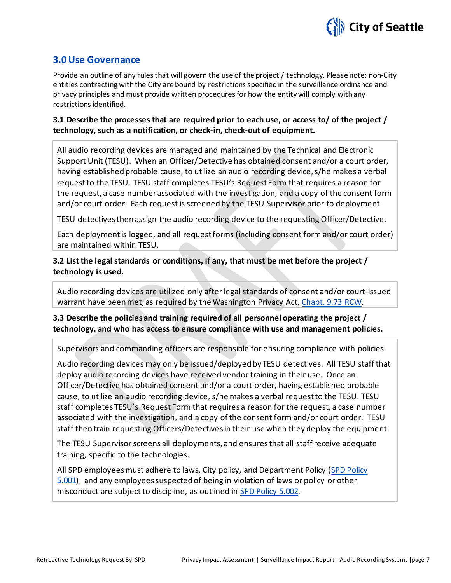

#### **3.0 Use Governance**

Provide an outline of any rules that will govern the use of the project / technology. Please note: non-City entities contracting with the City are bound by restrictions specifiedin the surveillance ordinance and privacy principles and must provide written procedures for how the entity will comply with any restrictions identified.

#### **3.1 Describe the processes that are required prior to each use, or access to/ of the project / technology, such as a notification, or check-in, check-out of equipment.**

All audio recording devices are managed and maintained by the Technical and Electronic Support Unit (TESU). When an Officer/Detective has obtained consent and/or a court order, having established probable cause, to utilize an audio recording device, s/he makes a verbal request to the TESU. TESU staff completes TESU's Request Form that requires a reason for the request, a case number associated with the investigation, and a copy of the consent form and/or court order. Each request is screened by the TESU Supervisor prior to deployment.

TESU detectives then assign the audio recording device to the requesting Officer/Detective.

Each deployment is logged, and all request forms (including consent form and/or court order) are maintained within TESU.

#### **3.2 List the legal standards or conditions, if any, that must be met before the project / technology is used.**

Audio recording devices are utilized only after legal standards of consent and/or court-issued warrant have been met, as required by the Washington Privacy Act, [Chapt. 9.73 RCW.](http://app.leg.wa.gov/rcw/default.aspx?cite=9.73)

#### **3.3 Describe the policies and training required of all personnel operating the project / technology, and who has access to ensure compliance with use and management policies.**

Supervisors and commanding officers are responsible for ensuring compliance with policies.

Audio recording devices may only be issued/deployed by TESU detectives. All TESU staff that deploy audio recording devices have received vendor training in their use. Once an Officer/Detective has obtained consent and/or a court order, having established probable cause, to utilize an audio recording device, s/he makes a verbal request to the TESU. TESU staff completes TESU's Request Form that requires a reason for the request, a case number associated with the investigation, and a copy of the consent form and/or court order. TESU staff then train requesting Officers/Detectives in their use when they deploy the equipment.

The TESU Supervisor screens all deployments, and ensures that all staff receive adequate training, specific to the technologies.

All SPD employees must adhere to laws, City policy, and Department Policy (SPD Policy [5.001\)](http://www.seattle.gov/police-manual/title-5---employee-conduct/5001---standards-and-duties), and any employees suspected of being in violation of laws or policy or other misconduct are subject to discipline, as outlined in [SPD Policy 5.002.](http://www.seattle.gov/police-manual/title-5---employee-conduct/5002---responsibilities-of-employees-concerning-alleged-policy-violations)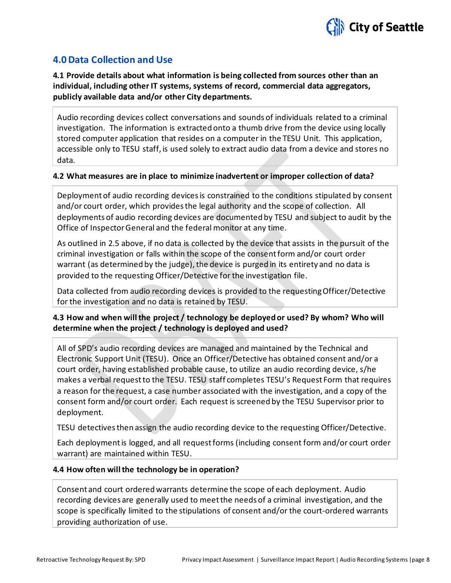

#### **4.0 Data Collection and Use**

**4.1 Provide details about what information is being collected from sources other than an individual, including other IT systems, systems of record, commercial data aggregators, publicly available data and/or other City departments.**

Audio recording devices collect conversations and sounds of individuals related to a criminal investigation. The information is extracted onto a thumb drive from the device using locally stored computer application that resides on a computer in the TESU Unit. This application, accessible only to TESU staff, is used solely to extract audio data from a device and stores no data.

#### **4.2 What measures are in place to minimize inadvertent or improper collection of data?**

Deployment of audio recording devices is constrained to the conditions stipulated by consent and/or court order, which provides the legal authority and the scope of collection. All deployments of audio recording devices are documented by TESU and subject to audit by the Office of Inspector General and the federal monitor at any time.

As outlined in 2.5 above, if no data is collected by the device that assists in the pursuit of the criminal investigation or falls within the scope of the consent form and/or court order warrant (as determined by the judge), the device is purged in its entirety and no data is provided to the requesting Officer/Detective for the investigation file.

Data collected from audio recording devices is provided to the requesting Officer/Detective for the investigation and no data is retained by TESU.

#### **4.3 How and when will the project / technology be deployed or used? By whom? Who will determine when the project / technology is deployed and used?**

All of SPD's audio recording devices are managed and maintained by the Technical and Electronic Support Unit (TESU). Once an Officer/Detective has obtained consent and/or a court order, having established probable cause, to utilize an audio recording device, s/he makes a verbal request to the TESU. TESU staff completes TESU's Request Form that requires a reason for the request, a case number associated with the investigation, and a copy of the consent form and/or court order. Each request is screened by the TESU Supervisor prior to deployment.

TESU detectives then assign the audio recording device to the requesting Officer/Detective.

Each deployment is logged, and all request forms (including consent form and/or court order warrant) are maintained within TESU.

#### **4.4 How often will the technology be in operation?**

Consent and court ordered warrants determine the scope of each deployment. Audio recording devices are generally used to meet the needs of a criminal investigation, and the scope is specifically limited to the stipulations of consent and/or the court-ordered warrants providing authorization of use.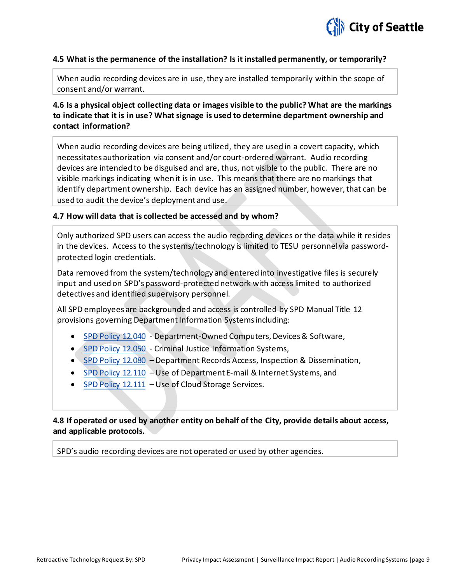

#### **4.5 What is the permanence of the installation? Is it installed permanently, or temporarily?**

When audio recording devices are in use, they are installed temporarily within the scope of consent and/or warrant.

#### **4.6 Is a physical object collecting data or images visible to the public? What are the markings to indicate that it is in use? What signage is used to determine department ownership and contact information?**

When audio recording devices are being utilized, they are used in a covert capacity, which necessitates authorization via consent and/or court-ordered warrant. Audio recording devices are intended to be disguised and are, thus, not visible to the public. There are no visible markings indicating when it is in use. This means that there are no markings that identify department ownership. Each device has an assigned number, however, that can be used to audit the device's deployment and use.

#### **4.7 How will data that is collected be accessed and by whom?**

Only authorized SPD users can access the audio recording devices or the data while it resides in the devices. Access to the systems/technology is limited to TESU personnel via passwordprotected login credentials.

Data removed from the system/technology and entered into investigative files is securely input and used on SPD's password-protected network with access limited to authorized detectives and identified supervisory personnel.

All SPD employees are backgrounded and access is controlled by SPD Manual Title 12 provisions governing Department Information Systems including:

- [SPD Policy 12.040](http://www.seattle.gov/police-manual/title-12---department-information-systems/12040---department-owned-computers-devices-and-software) Department-Owned Computers, Devices & Software,
- [SPD Policy 12.050](http://www.seattle.gov/police-manual/title-12---department-information-systems/12050---criminal-justice-information-systems) Criminal Justice Information Systems,
- [SPD Policy 12.080](http://www.seattle.gov/police-manual/title-12---department-information-systems/12080---department-records-access-inspection-and-dissemination) Department Records Access, Inspection & Dissemination,
- [SPD Policy 12.110](http://www.seattle.gov/police-manual/title-12---department-information-systems/12110---use-of-department-e-mail-and-internet-systems) Use of Department E-mail & Internet Systems, and
- [SPD Policy 12.111](http://www.seattle.gov/police-manual/title-12---department-information-systems/12111---use-of-cloud-storage-services) Use of Cloud Storage Services.

#### **4.8 If operated or used by another entity on behalf of the City, provide details about access, and applicable protocols.**

SPD's audio recording devices are not operated or used by other agencies.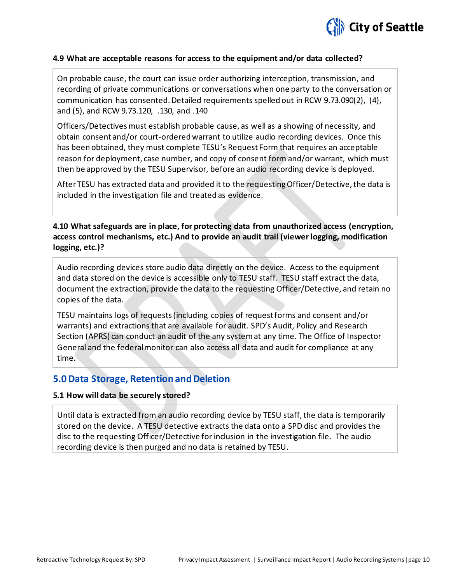

#### **4.9 What are acceptable reasons for access to the equipment and/or data collected?**

On probable cause, the court can issue order authorizing interception, transmission, and recording of private communications or conversations when one party to the conversation or communication has consented. Detailed requirements spelled out in RCW 9.73.090(2), (4), and (5), and RCW 9.73.120, .130, and .140

Officers/Detectives must establish probable cause, as well as a showing of necessity, and obtain consent and/or court-ordered warrant to utilize audio recording devices. Once this has been obtained, they must complete TESU's Request Form that requires an acceptable reason for deployment, case number, and copy of consent form and/or warrant, which must then be approved by the TESU Supervisor, before an audio recording device is deployed.

After TESU has extracted data and provided it to the requesting Officer/Detective, the data is included in the investigation file and treated as evidence.

**4.10 What safeguards are in place, for protecting data from unauthorized access (encryption, access control mechanisms, etc.) And to provide an audit trail (viewer logging, modification logging, etc.)?**

Audio recording devices store audio data directly on the device. Access to the equipment and data stored on the device is accessible only to TESU staff. TESU staff extract the data, document the extraction, provide the data to the requesting Officer/Detective, and retain no copies of the data.

TESU maintains logs of requests (including copies of request forms and consent and/or warrants) and extractions that are available for audit. SPD's Audit, Policy and Research Section (APRS) can conduct an audit of the any system at any time. The Office of Inspector General and the federal monitor can also access all data and audit for compliance at any time.

#### **5.0 Data Storage, Retention and Deletion**

#### **5.1 How will data be securely stored?**

Until data is extracted from an audio recording device by TESU staff, the data is temporarily stored on the device. A TESU detective extracts the data onto a SPD disc and provides the disc to the requesting Officer/Detective for inclusion in the investigation file. The audio recording device is then purged and no data is retained by TESU.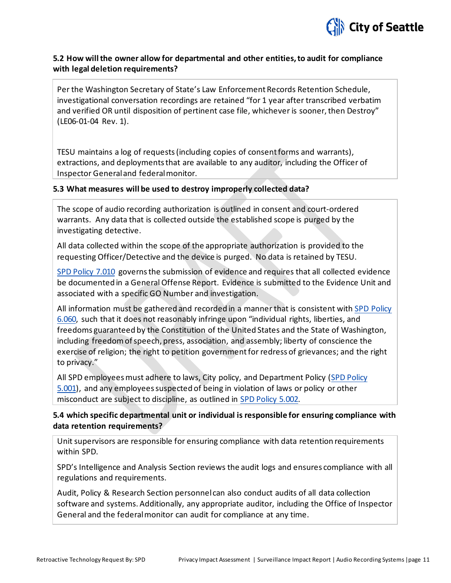

#### **5.2 How will the owner allow for departmental and other entities, to audit for compliance with legal deletion requirements?**

Per the Washington Secretary of State's Law Enforcement Records Retention Schedule, investigational conversation recordings are retained "for 1 year after transcribed verbatim and verified OR until disposition of pertinent case file, whichever is sooner, then Destroy" (LE06-01-04 Rev. 1).

TESU maintains a log of requests (including copies of consent forms and warrants), extractions, and deployments that are available to any auditor, including the Officer of Inspector General and federal monitor.

#### **5.3 What measures will be used to destroy improperly collected data?**

The scope of audio recording authorization is outlined in consent and court-ordered warrants. Any data that is collected outside the established scope is purged by the investigating detective.

All data collected within the scope of the appropriate authorization is provided to the requesting Officer/Detective and the device is purged. No data is retained by TESU.

[SPD Policy 7.010](http://www.seattle.gov/police-manual/title-7---evidence-and-property/7010---submitting-evidence) governs the submission of evidence and requires that all collected evidence be documented in a General Offense Report. Evidence is submitted to the Evidence Unit and associated with a specific GO Number and investigation.

All information must be gathered and recorded in a manner that is consistent with [SPD Policy](http://www.seattle.gov/police-manual/title-6---arrests-search-and-seizure/6060---collection-of-information-for-law-enforcement-purposes)  [6.060,](http://www.seattle.gov/police-manual/title-6---arrests-search-and-seizure/6060---collection-of-information-for-law-enforcement-purposes) such that it does not reasonably infringe upon "individual rights, liberties, and freedoms guaranteed by the Constitution of the United States and the State of Washington, including freedom of speech, press, association, and assembly; liberty of conscience the exercise of religion; the right to petition government for redress of grievances; and the right to privacy."

All SPD employees must adhere to laws, City policy, and Department Policy [\(SPD Policy](http://www.seattle.gov/police-manual/title-5---employee-conduct/5001---standards-and-duties)  [5.001\)](http://www.seattle.gov/police-manual/title-5---employee-conduct/5001---standards-and-duties), and any employees suspected of being in violation of laws or policy or other misconduct are subject to discipline, as outlined in [SPD Policy 5.002.](http://www.seattle.gov/police-manual/title-5---employee-conduct/5002---responsibilities-of-employees-concerning-alleged-policy-violations) 

#### **5.4 which specific departmental unit or individual is responsible for ensuring compliance with data retention requirements?**

Unit supervisors are responsible for ensuring compliance with data retention requirements within SPD.

SPD's Intelligence and Analysis Section reviews the audit logs and ensures compliance with all regulations and requirements.

Audit, Policy & Research Section personnel can also conduct audits of all data collection software and systems. Additionally, any appropriate auditor, including the Office of Inspector General and the federal monitor can audit for compliance at any time.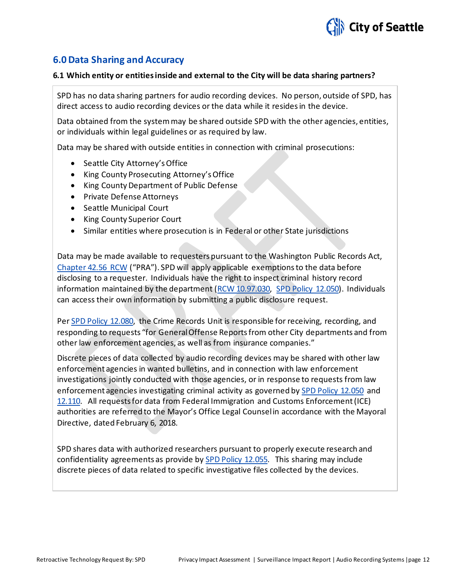

#### **6.0 Data Sharing and Accuracy**

#### **6.1 Which entity or entities inside and external to the City will be data sharing partners?**

SPD has no data sharing partners for audio recording devices. No person, outside of SPD, has direct access to audio recording devices or the data while it resides in the device.

Data obtained from the system may be shared outside SPD with the other agencies, entities, or individuals within legal guidelines or as required by law.

Data may be shared with outside entities in connection with criminal prosecutions:

- Seattle City Attorney's Office
- King County Prosecuting Attorney's Office
- King County Department of Public Defense
- Private Defense Attorneys
- Seattle Municipal Court
- King County Superior Court
- Similar entities where prosecution is in Federal or other State jurisdictions

Data may be made available to requesters pursuant to the Washington Public Records Act, [Chapter 42.56 RCW](http://apps.leg.wa.gov/RCW/default.aspx?cite=42.56) ("PRA"). SPD will apply applicable exemptions to the data before disclosing to a requester. Individuals have the right to inspect criminal history record information maintained by the department [\(RCW 10.97.030,](http://app.leg.wa.gov/rcw/default.aspx?cite=10.97.030) [SPD Policy 12.050\).](http://www.seattle.gov/police-manual/title-12---department-information-systems/12050---criminal-justice-information-systems) Individuals can access their own information by submitting a public disclosure request.

Pe[r SPD Policy 12.080,](http://www.seattle.gov/police-manual/title-12---department-information-systems/12080---department-records-access-inspection-and-dissemination) the Crime Records Unit is responsible for receiving, recording, and responding to requests "for General Offense Reportsfrom other City departments and from other law enforcement agencies, as well as from insurance companies."

Discrete pieces of data collected by audio recording devices may be shared with other law enforcement agencies in wanted bulletins, and in connection with law enforcement investigations jointly conducted with those agencies, or in response to requests from law enforcement agencies investigating criminal activity as governed b[y SPD Policy 12.050](http://www.seattle.gov/police-manual/title-12---department-information-systems/12050---criminal-justice-information-systems) and [12.110.](http://www.seattle.gov/police-manual/title-12---department-information-systems/12110---use-of-department-e-mail-and-internet-systems) All requests for data from Federal Immigration and Customs Enforcement (ICE) authorities are referred to the Mayor's Office Legal Counsel in accordance with the Mayoral Directive, dated February 6, 2018.

SPD shares data with authorized researchers pursuant to properly execute research and confidentiality agreements as provide by [SPD Policy 12.055.](http://www.seattle.gov/police-manual/title-12---department-information-systems/12055---criminal-justice-research) This sharing may include discrete pieces of data related to specific investigative files collected by the devices.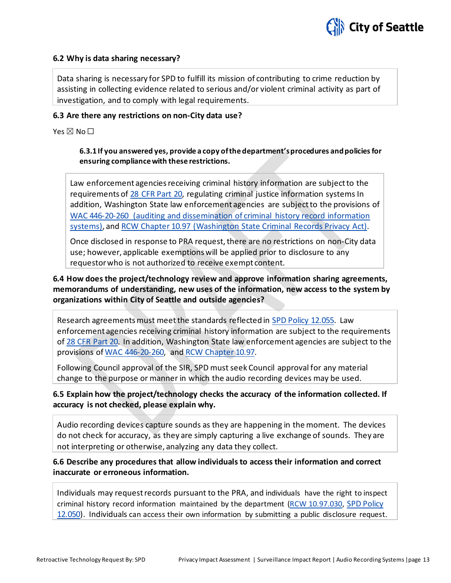

#### **6.2 Why is data sharing necessary?**

Data sharing is necessary for SPD to fulfill its mission of contributing to crime reduction by assisting in collecting evidence related to serious and/or violent criminal activity as part of investigation, and to comply with legal requirements.

#### **6.3 Are there any restrictions on non-City data use?**

Yes  $\nabla$  No  $\nabla$ 

#### **6.3.1 If you answered yes, provide a copy of the department's procedures and policies for ensuring compliance with these restrictions.**

Law enforcement agencies receiving criminal history information are subject to the requirements of [28 CFR Part 20,](https://www.ecfr.gov/cgi-bin/text-idx?tpl=/ecfrbrowse/Title28/28cfr20_main_02.tpl) regulating criminal justice information systems In addition, Washington State law enforcement agencies are subject to the provisions of [WAC 446-20-260](http://apps.leg.wa.gov/wac/default.aspx?cite=446-20-260) (auditing and dissemination of criminal history record information systems), and [RCW Chapter 10.97](http://app.leg.wa.gov/rcw/default.aspx?cite=10.97) (Washington State Criminal Records Privacy Act).

Once disclosed in response to PRA request, there are no restrictions on non-City data use; however, applicable exemptions will be applied prior to disclosure to any requestor who is not authorized to receive exempt content.

#### **6.4 How does the project/technology review and approve information sharing agreements, memorandums of understanding, new uses of the information, new access to the system by organizations within City of Seattle and outside agencies?**

Research agreements must meet the standards reflected in [SPD Policy 12.055.](http://www.seattle.gov/police-manual/title-12---department-information-systems/12055---criminal-justice-research) Law enforcement agencies receiving criminal history information are subject to the requirements of [28 CFR Part 20.](https://www.ecfr.gov/cgi-bin/text-idx?tpl=/ecfrbrowse/Title28/28cfr20_main_02.tpl) In addition, Washington State law enforcement agencies are subject to the provisions of [WAC 446-20-260,](http://apps.leg.wa.gov/wac/default.aspx?cite=446-20-260) and [RCW Chapter 10.97.](http://app.leg.wa.gov/rcw/default.aspx?cite=10.97)

Following Council approval of the SIR, SPD must seek Council approval for any material change to the purpose or manner in which the audio recording devices may be used.

**6.5 Explain how the project/technology checks the accuracy of the information collected. If accuracy is not checked, please explain why.**

Audio recording devices capture sounds as they are happening in the moment. The devices do not check for accuracy, as they are simply capturing a live exchange of sounds. They are not interpreting or otherwise, analyzing any data they collect.

**6.6 Describe any procedures that allow individuals to access their information and correct inaccurate or erroneous information.**

Individuals may request records pursuant to the PRA, and individuals have the right to inspect criminal history record information maintained by the department [\(RCW 10.97.030,](http://app.leg.wa.gov/rcw/default.aspx?cite=10.97.030) [SPD Policy](http://www.seattle.gov/police-manual/title-12---department-information-systems/12050---criminal-justice-information-systems)  [12.050\).](http://www.seattle.gov/police-manual/title-12---department-information-systems/12050---criminal-justice-information-systems) Individuals can access their own information by submitting a public disclosure request.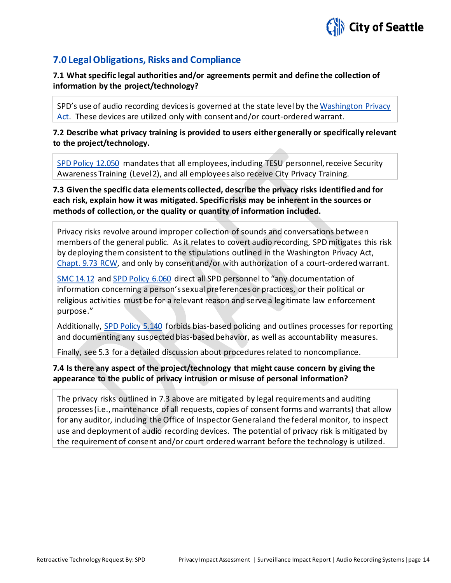

#### **7.0 Legal Obligations, Risks and Compliance**

**7.1 What specific legal authorities and/or agreements permit and define the collection of information by the project/technology?**

SPD's use of audio recording devices is governed at the state level by th[e Washington Privacy](http://app.leg.wa.gov/rcw/default.aspx?cite=9.73)  [Act.](http://app.leg.wa.gov/rcw/default.aspx?cite=9.73) These devices are utilized only with consent and/or court-ordered warrant.

**7.2 Describe what privacy training is provided to users either generally or specifically relevant to the project/technology.**

[SPD Policy 12.050](http://www.seattle.gov/police-manual/title-12---department-information-systems/12050---criminal-justice-information-systems) mandates that all employees, including TESU personnel, receive Security Awareness Training (Level 2), and all employees also receive City Privacy Training.

**7.3 Given the specific data elements collected, describe the privacy risks identified and for each risk, explain how it was mitigated. Specific risks may be inherent in the sources or methods of collection, or the quality or quantity of information included.**

Privacy risks revolve around improper collection of sounds and conversations between members of the general public. As it relates to covert audio recording, SPD mitigates this risk by deploying them consistent to the stipulations outlined in the Washington Privacy Act, [Chapt. 9.73 RCW,](http://app.leg.wa.gov/rcw/default.aspx?cite=9.73) and only by consent and/or with authorization of a court-ordered warrant.

[SMC 14.12](http://clerk.ci.seattle.wa.us/%7Epublic/toc/14-12.htm) an[d SPD Policy 6.060](http://www.seattle.gov/police-manual/title-6---arrests-search-and-seizure/6060---collection-of-information-for-law-enforcement-purposes) direct all SPD personnel to "any documentation of information concerning a person's sexual preferences or practices, or their political or religious activities must be for a relevant reason and serve a legitimate law enforcement purpose."

Additionally, [SPD Policy 5.140](http://www.seattle.gov/police-manual/title-5---employee-conduct/5140---bias-free-policing) forbids bias-based policing and outlines processes for reporting and documenting any suspected bias-based behavior, as well as accountability measures.

Finally, see 5.3 for a detailed discussion about procedures related to noncompliance.

#### **7.4 Is there any aspect of the project/technology that might cause concern by giving the appearance to the public of privacy intrusion or misuse of personal information?**

The privacy risks outlined in 7.3 above are mitigated by legal requirements and auditing processes (i.e., maintenance of all requests, copies of consent forms and warrants) that allow for any auditor, including the Office of Inspector General and the federal monitor, to inspect use and deployment of audio recording devices. The potential of privacy risk is mitigated by the requirement of consent and/or court ordered warrant before the technology is utilized.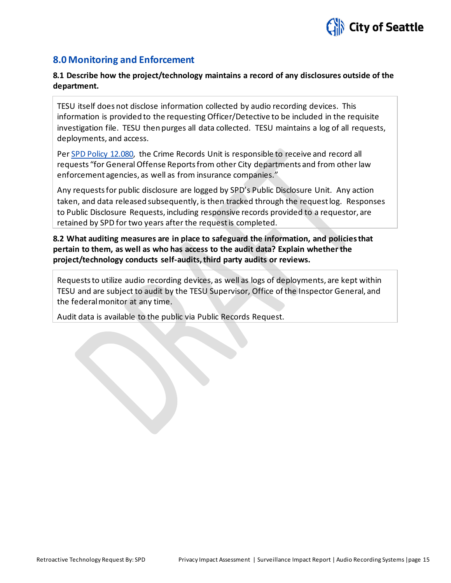

#### **8.0 Monitoring and Enforcement**

#### **8.1 Describe how the project/technology maintains a record of any disclosures outside of the department.**

TESU itself does not disclose information collected by audio recording devices. This information is provided to the requesting Officer/Detective to be included in the requisite investigation file. TESU then purges all data collected. TESU maintains a log of all requests, deployments, and access.

Pe[r SPD Policy 12.080,](http://www.seattle.gov/police-manual/title-12---department-information-systems/12080---department-records-access-inspection-and-dissemination) the Crime Records Unit is responsible to receive and record all requests "for General Offense Reports from other City departments and from other law enforcement agencies, as well as from insurance companies."

Any requests for public disclosure are logged by SPD's Public Disclosure Unit. Any action taken, and data released subsequently, is then tracked through the request log. Responses to Public Disclosure Requests, including responsive records provided to a requestor, are retained by SPD for two years after the request is completed.

#### **8.2 What auditing measures are in place to safeguard the information, and policies that pertain to them, as well as who has access to the audit data? Explain whether the project/technology conducts self-audits, third party audits or reviews.**

Requests to utilize audio recording devices, as well as logs of deployments, are kept within TESU and are subject to audit by the TESU Supervisor, Office of the Inspector General, and the federal monitor at any time.

Audit data is available to the public via Public Records Request.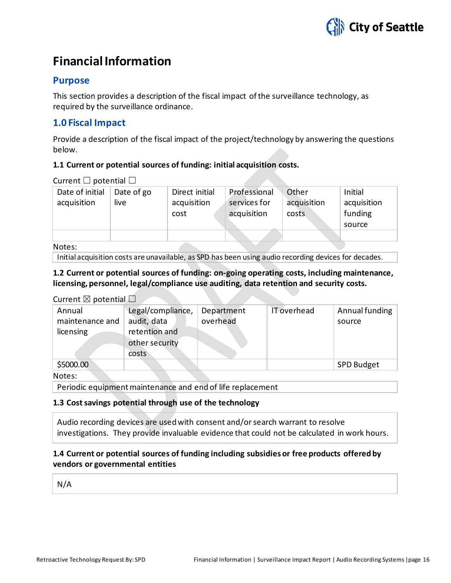

## <span id="page-15-0"></span>**Financial Information**

#### **Purpose**

This section provides a description of the fiscal impact of the surveillance technology, as required by the surveillance ordinance.

#### **1.0 Fiscal Impact**

Provide a description of the fiscal impact of the project/technology by answering the questions below.

#### **1.1 Current or potential sources of funding: initial acquisition costs.**

Current  $\Box$  potential  $\Box$ 

| Date of initial | Date of go | Direct initial | Professional | Other       | Initial     |
|-----------------|------------|----------------|--------------|-------------|-------------|
| acquisition     | live       | acquisition    | services for | acquisition | acquisition |
|                 |            | cost           | acquisition  | costs       | funding     |
|                 |            |                |              |             | source      |
|                 |            |                |              |             |             |
| Notes:          |            |                |              |             |             |

Notes:

Initial acquisition costs are unavailable, as SPD has been using audio recording devices for decades.

#### **1.2 Current or potential sources of funding: on-going operating costs, including maintenance, licensing, personnel, legal/compliance use auditing, data retention and security costs.**

#### Current  $\boxtimes$  potential  $\Box$

| Annual<br>maintenance and | Legal/compliance,<br>audit, data                | Department<br>overhead | IT overhead | Annual funding<br>source |
|---------------------------|-------------------------------------------------|------------------------|-------------|--------------------------|
| licensing                 | retention and<br>other security<br><b>costs</b> |                        |             |                          |
| \$5000.00                 |                                                 |                        |             | <b>SPD Budget</b>        |

Notes:

Periodic equipment maintenance and end of life replacement

#### **1.3 Cost savings potential through use of the technology**

Audio recording devices are used with consent and/or search warrant to resolve investigations. They provide invaluable evidence that could not be calculated in work hours.

#### **1.4 Current or potential sources of funding including subsidies or free products offered by vendors or governmental entities**

N/A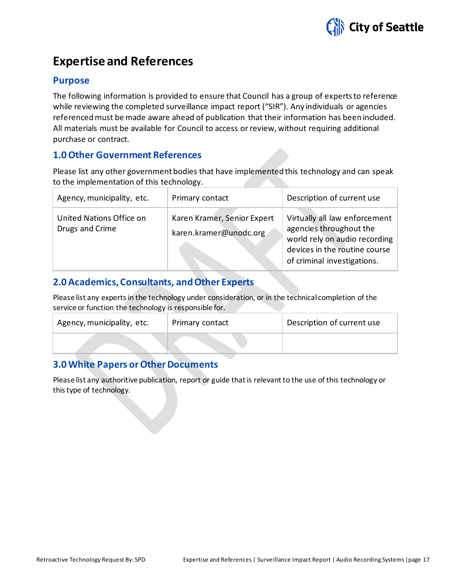

## <span id="page-16-0"></span>**Expertise and References**

#### **Purpose**

The following information is provided to ensure that Council has a group of experts to reference while reviewing the completed surveillance impact report ("SIR"). Any individuals or agencies referenced must be made aware ahead of publication that their information has been included. All materials must be available for Council to access or review, without requiring additional purchase or contract.

#### **1.0 Other Government References**

Please list any other government bodies that have implemented this technology and can speak to the implementation of this technology.

| Agency, municipality, etc.                  | Primary contact                                       | Description of current use                                                                                                                                |
|---------------------------------------------|-------------------------------------------------------|-----------------------------------------------------------------------------------------------------------------------------------------------------------|
| United Nations Office on<br>Drugs and Crime | Karen Kramer, Senior Expert<br>karen.kramer@unodc.org | Virtually all law enforcement<br>agencies throughout the<br>world rely on audio recording<br>devices in the routine course<br>of criminal investigations. |

#### **2.0 Academics, Consultants, and Other Experts**

Please list any experts in the technology under consideration, or in the technical completion of the service or function the technology is responsible for.

| Agency, municipality, etc. | Primary contact | Description of current use |
|----------------------------|-----------------|----------------------------|
|                            |                 |                            |

#### **3.0 White Papers or Other Documents**

Please list any authoritive publication, report or guide that is relevant to the use of this technology or this type of technology.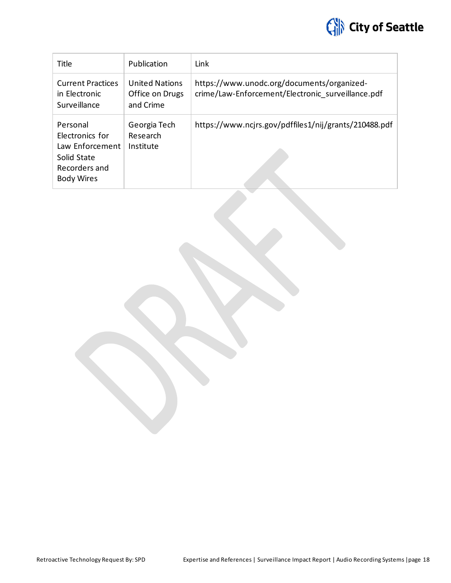

| Title                                                                                               | Publication                                           | Link                                                                                            |
|-----------------------------------------------------------------------------------------------------|-------------------------------------------------------|-------------------------------------------------------------------------------------------------|
| <b>Current Practices</b><br>in Electronic<br>Surveillance                                           | <b>United Nations</b><br>Office on Drugs<br>and Crime | https://www.unodc.org/documents/organized-<br>crime/Law-Enforcement/Electronic surveillance.pdf |
| Personal<br>Electronics for<br>Law Enforcement<br>Solid State<br>Recorders and<br><b>Body Wires</b> | Georgia Tech<br>Research<br>Institute                 | https://www.ncjrs.gov/pdffiles1/nij/grants/210488.pdf                                           |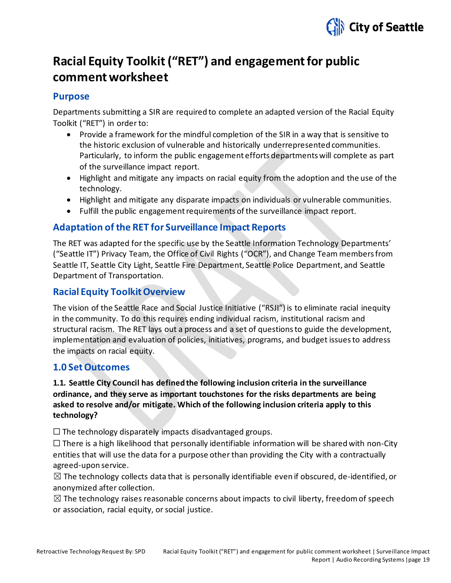

## <span id="page-18-0"></span>**Racial Equity Toolkit ("RET") and engagement for public commentworksheet**

#### **Purpose**

Departments submitting a SIR are required to complete an adapted version of the Racial Equity Toolkit ("RET") in order to:

- Provide a framework for the mindful completion of the SIR in a way that is sensitive to the historic exclusion of vulnerable and historically underrepresented communities. Particularly, to inform the public engagement efforts departments will complete as part of the surveillance impact report.
- Highlight and mitigate any impacts on racial equity from the adoption and the use of the technology.
- Highlight and mitigate any disparate impacts on individuals or vulnerable communities.
- Fulfill the public engagement requirements of the surveillance impact report.

#### **Adaptation of the RET for Surveillance Impact Reports**

The RET was adapted for the specific use by the Seattle Information Technology Departments' ("Seattle IT") Privacy Team, the Office of Civil Rights ("OCR"), and Change Team members from Seattle IT, Seattle City Light, Seattle Fire Department, Seattle Police Department, and Seattle Department of Transportation.

#### **Racial Equity Toolkit Overview**

The vision of the Seattle Race and Social Justice Initiative ("RSJI") is to eliminate racial inequity in the community. To do this requires ending individual racism, institutional racism and structural racism. The RET lays out a process and a set of questions to guide the development, implementation and evaluation of policies, initiatives, programs, and budget issues to address the impacts on racial equity.

#### **1.0 Set Outcomes**

#### **1.1. Seattle City Council has defined the following inclusion criteria in the surveillance ordinance, and they serve as important touchstones for the risks departments are being asked to resolve and/or mitigate. Which of the following inclusion criteria apply to this technology?**

 $\Box$  The technology disparately impacts disadvantaged groups.

 $\Box$  There is a high likelihood that personally identifiable information will be shared with non-City entities that will use the data for a purpose other than providing the City with a contractually agreed-upon service.

 $\boxtimes$  The technology collects data that is personally identifiable even if obscured, de-identified, or anonymized after collection.

 $\boxtimes$  The technology raises reasonable concerns about impacts to civil liberty, freedom of speech or association, racial equity, or social justice.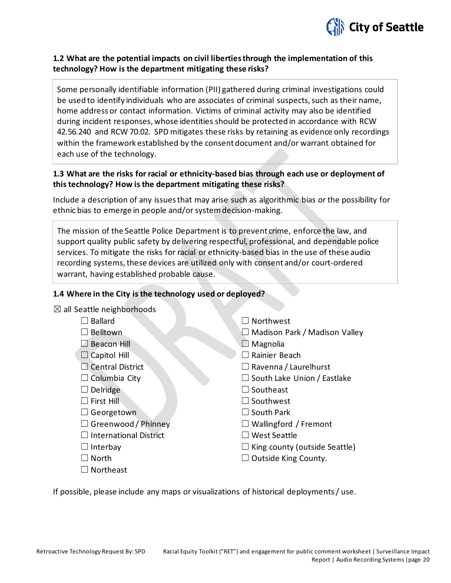

#### **1.2 What are the potential impacts on civil liberties through the implementation of this technology? How is the department mitigating these risks?**

Some personally identifiable information (PII) gathered during criminal investigations could be used to identify individuals who are associates of criminal suspects, such as their name, home address or contact information. Victims of criminal activity may also be identified during incident responses, whose identities should be protected in accordance with RCW 42.56.240 and RCW 70.02. SPD mitigates these risks by retaining as evidence only recordings within the framework established by the consent document and/or warrant obtained for each use of the technology.

#### **1.3 What are the risks for racial or ethnicity-based bias through each use or deployment of this technology? How is the department mitigating these risks?**

Include a description of any issues that may arise such as algorithmic bias or the possibility for ethnic bias to emerge in people and/or system decision-making.

The mission of the Seattle Police Department is to prevent crime, enforce the law, and support quality public safety by delivering respectful, professional, and dependable police services. To mitigate the risks for racial or ethnicity-based bias in the use of these audio recording systems, these devices are utilized only with consent and/or court-ordered warrant, having established probable cause.

#### **1.4 Where in the City is the technology used or deployed?**

| $\boxtimes$ all Seattle neighborhoods |                                      |
|---------------------------------------|--------------------------------------|
| <b>Ballard</b>                        | $\Box$ Northwest                     |
| $\Box$ Belltown                       | $\Box$ Madison Park / Madison Valley |
| $\Box$ Beacon Hill                    | Magnolia                             |
| $\Box$ Capitol Hill                   | Rainier Beach                        |
| $\Box$ Central District               | $\Box$ Ravenna / Laurelhurst         |
| $\Box$ Columbia City                  | $\Box$ South Lake Union / Eastlake   |
| Delridge                              | $\Box$ Southeast                     |
| $\square$ First Hill                  | $\Box$ Southwest                     |
| $\Box$ Georgetown                     | $\Box$ South Park                    |
| $\Box$ Greenwood / Phinney            | $\Box$ Wallingford / Fremont         |
| International District                | $\Box$ West Seattle                  |
| $\Box$ Interbay                       | $\Box$ King county (outside Seattle) |
| <b>North</b>                          | $\Box$ Outside King County.          |
| Northeast                             |                                      |

If possible, please include any maps or visualizations of historical deployments / use.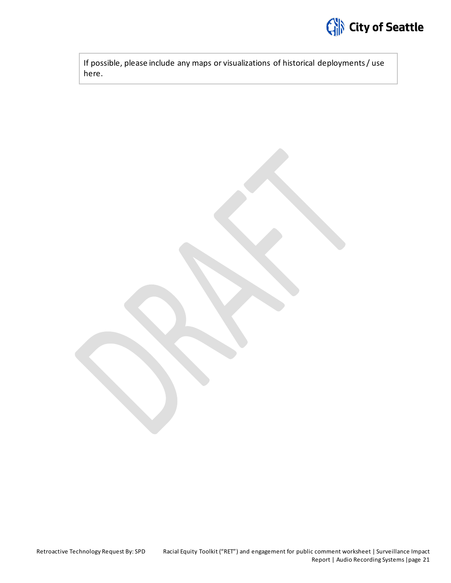

If possible, please include any maps or visualizations of historical deployments / use here.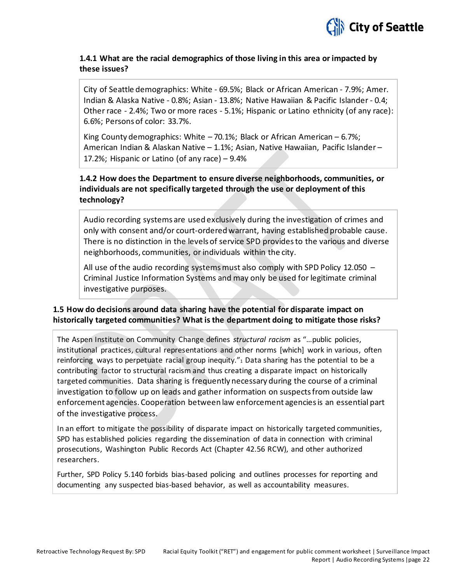

#### **1.4.1 What are the racial demographics of those living in this area or impacted by these issues?**

City of Seattle demographics: White - 69.5%; Black or African American - 7.9%; Amer. Indian & Alaska Native - 0.8%; Asian - 13.8%; Native Hawaiian & Pacific Islander - 0.4; Other race - 2.4%; Two or more races - 5.1%; Hispanic or Latino ethnicity (of any race): 6.6%; Persons of color: 33.7%.

King County demographics: White – 70.1%; Black or African American – 6.7%; American Indian & Alaskan Native – 1.1%; Asian, Native Hawaiian, Pacific Islander – 17.2%; Hispanic or Latino (of any race) – 9.4%

#### **1.4.2 How does the Department to ensure diverse neighborhoods, communities, or individuals are not specifically targeted through the use or deployment of this technology?**

Audio recording systems are used exclusively during the investigation of crimes and only with consent and/or court-ordered warrant, having established probable cause. There is no distinction in the levels of service SPD provides to the various and diverse neighborhoods, communities, or individuals within the city.

All use of the audio recording systems must also comply with SPD Policy 12.050 – Criminal Justice Information Systems and may only be used for legitimate criminal investigative purposes.

#### **1.5 How do decisions around data sharing have the potential for disparate impact on historically targeted communities? What is the department doing to mitigate those risks?**

The Aspen Institute on Community Change defines *structural racism* as "…public policies, institutional practices, cultural representations and other norms [which] work in various, often reinforcing ways to perpetuate racial group inequity. $x_1$  Data sharing has the potential to be a contributing factor to structural racism and thus creating a disparate impact on historically targeted communities. Data sharing is frequently necessary during the course of a criminal investigation to follow up on leads and gather information on suspects from outside law enforcement agencies. Cooperation between law enforcement agencies is an essential part of the investigative process.

In an effort to mitigate the possibility of disparate impact on historically targeted communities, SPD has established policies regarding the dissemination of data in connection with criminal prosecutions, Washington Public Records Act (Chapter 42.56 RCW), and other authorized researchers.

Further, SPD Policy 5.140 forbids bias-based policing and outlines processes for reporting and documenting any suspected bias-based behavior, as well as accountability measures.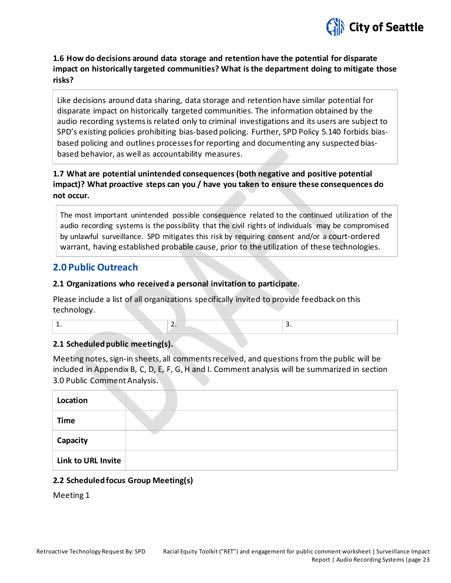

**1.6 How do decisions around data storage and retention have the potential for disparate impact on historically targeted communities? What is the department doing to mitigate those risks?** 

Like decisions around data sharing, data storage and retention have similar potential for disparate impact on historically targeted communities. The information obtained by the audio recording systems is related only to criminal investigations and its users are subject to SPD's existing policies prohibiting bias-based policing. Further, SPD Policy 5.140 forbids biasbased policing and outlines processes for reporting and documenting any suspected biasbased behavior, as well as accountability measures.

#### **1.7 What are potential unintended consequences (both negative and positive potential impact)? What proactive steps can you / have you taken to ensure these consequences do not occur.**

The most important unintended possible consequence related to the continued utilization of the audio recording systems is the possibility that the civil rights of individuals may be compromised by unlawful surveillance. SPD mitigates this risk by requiring consent and/or a court-ordered warrant, having established probable cause, prior to the utilization of these technologies.

#### **2.0 Public Outreach**

#### **2.1 Organizations who received a personal invitation to participate.**

Please include a list of all organizations specifically invited to provide feedback on this technology.

1.  $\vert$  2.  $\vert$  3.

#### **2.1 Scheduled public meeting(s).**

Meeting notes, sign-in sheets, all comments received, and questions from the public will be included in Appendix B, C, D, E, F, G, H and I. Comment analysis will be summarized in section 3.0 Public Comment Analysis.

| Location           |  |
|--------------------|--|
| <b>Time</b>        |  |
| Capacity           |  |
| Link to URL Invite |  |

#### **2.2 Scheduled focus Group Meeting(s)**

Meeting 1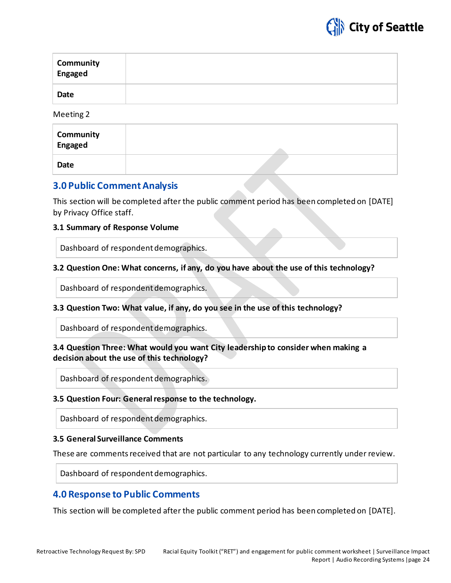

| Community<br>Engaged |  |
|----------------------|--|
| <b>Date</b>          |  |

Meeting 2

| <b>Community</b><br>Engaged |  |
|-----------------------------|--|
| Date                        |  |

#### **3.0 Public Comment Analysis**

This section will be completed after the public comment period has been completed on [DATE] by Privacy Office staff.

#### **3.1 Summary of Response Volume**

Dashboard of respondent demographics.

#### **3.2 Question One: What concerns, if any, do you have about the use of this technology?**

Dashboard of respondent demographics.

#### **3.3 Question Two: What value, if any, do you see in the use of this technology?**

Dashboard of respondent demographics.

#### **3.4 Question Three: What would you want City leadership to consider when making a decision about the use of this technology?**

Dashboard of respondent demographics.

#### **3.5 Question Four: General response to the technology.**

Dashboard of respondent demographics.

#### **3.5 General Surveillance Comments**

These are comments received that are not particular to any technology currently under review.

Dashboard of respondent demographics.

#### **4.0 Response to Public Comments**

This section will be completed after the public comment period has been completed on [DATE].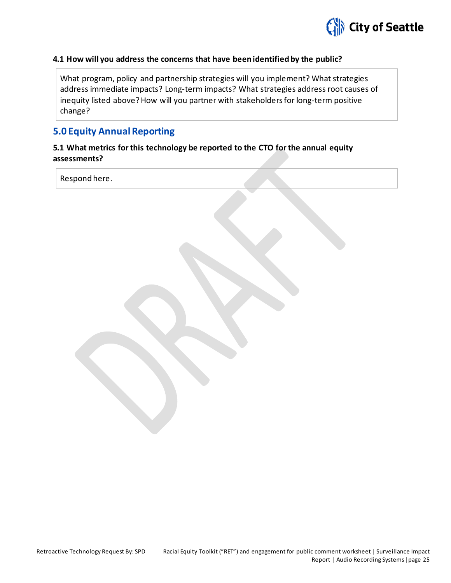

#### **4.1 How will you address the concerns that have been identified by the public?**

What program, policy and partnership strategies will you implement? What strategies address immediate impacts? Long-term impacts? What strategies address root causes of inequity listed above? How will you partner with stakeholders for long-term positive change?

#### **5.0 Equity Annual Reporting**

#### **5.1 What metrics for this technology be reported to the CTO for the annual equity assessments?**

Respond here.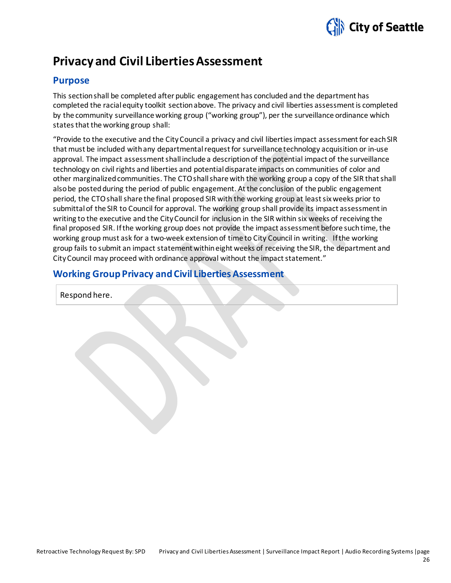

## <span id="page-25-0"></span>**Privacy and Civil Liberties Assessment**

#### **Purpose**

This section shall be completed after public engagement has concluded and the department has completed the racial equity toolkit section above. The privacy and civil liberties assessment is completed by the community surveillance working group ("working group"), per the surveillance ordinance which states that the working group shall:

"Provide to the executive and the CityCouncil a privacy and civil liberties impact assessment for each SIR that must be included with any departmental request for surveillance technology acquisition or in-use approval. The impact assessment shall include a description of the potential impact of the surveillance technology on civil rights and liberties and potential disparate impacts on communities of color and other marginalized communities. The CTOshall share with the working group a copy of the SIR that shall also be posted during the period of public engagement. At the conclusion of the public engagement period, the CTOshall share the final proposed SIR with the working group at least six weeks prior to submittal of the SIR to Council for approval. The working group shall provide its impact assessment in writing to the executive and the CityCouncil for inclusion in the SIR within six weeks of receiving the final proposed SIR. If the working group does not provide the impact assessment before such time, the working group must ask for a two-week extension of time to City Council in writing. If the working group fails to submit an impact statement within eight weeks of receiving the SIR, the department and CityCouncil may proceed with ordinance approval without the impact statement."

#### **Working Group Privacy and Civil Liberties Assessment**

Respond here.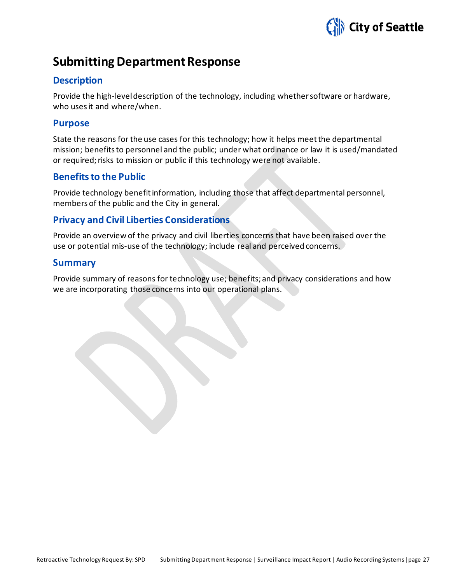

## <span id="page-26-0"></span>**Submitting Department Response**

#### **Description**

Provide the high-level description of the technology, including whether software or hardware, who uses it and where/when.

#### **Purpose**

State the reasons for the use cases for this technology; how it helps meet the departmental mission; benefits to personnel and the public; under what ordinance or law it is used/mandated or required; risks to mission or public if this technology were not available.

#### **Benefits to the Public**

Provide technology benefit information, including those that affect departmental personnel, members of the public and the City in general.

#### **Privacy and Civil Liberties Considerations**

Provide an overview of the privacy and civil liberties concerns that have been raised over the use or potential mis-use of the technology; include real and perceived concerns.

#### **Summary**

Provide summary of reasons for technology use; benefits; and privacy considerations and how we are incorporating those concerns into our operational plans.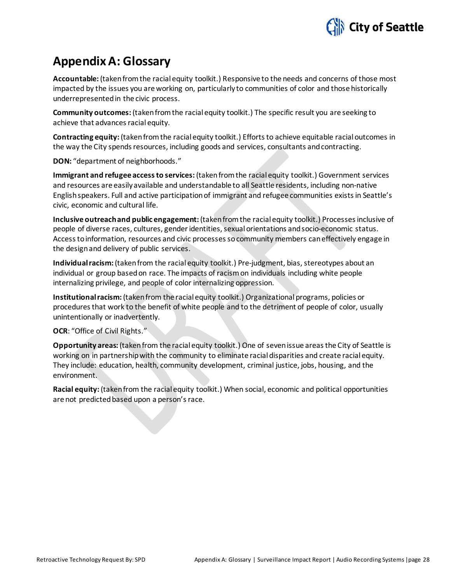

## <span id="page-27-0"></span>**Appendix A: Glossary**

**Accountable:** (taken from the racial equity toolkit.) Responsive to the needs and concerns of those most impacted by the issues you are working on, particularly to communities of color and those historically underrepresented in the civic process.

**Community outcomes:** (takenfrom the racial equity toolkit.) The specific result you are seeking to achieve that advances racial equity.

**Contracting equity:** (taken from the racial equity toolkit.) Efforts to achieve equitable racial outcomes in the way the City spends resources, including goods and services, consultants and contracting.

**DON:** "department of neighborhoods."

**Immigrant and refugee access to services:**(taken from the racial equity toolkit.) Government services and resources are easily available and understandable to all Seattle residents, including non-native English speakers. Full and active participation of immigrant and refugee communities exists in Seattle's civic, economic and cultural life.

**Inclusive outreach and public engagement:** (taken from the racial equity toolkit.) Processes inclusive of people of diverse races, cultures, gender identities, sexual orientations and socio-economic status. Access to information, resources and civic processes so community members can effectively engage in the design and delivery of public services.

**Individual racism:** (taken from the racial equity toolkit.) Pre-judgment, bias, stereotypes about an individual or group based on race. The impacts of racism on individuals including white people internalizing privilege, and people of color internalizing oppression.

**Institutional racism:** (taken from the racial equity toolkit.) Organizational programs, policies or procedures that work to the benefit of white people and to the detriment of people of color, usually unintentionally or inadvertently.

#### **OCR**: "Office of Civil Rights."

**Opportunity areas:** (taken from the racial equity toolkit.) One of seven issue areas the City of Seattle is working on in partnership with the community to eliminate racial disparities and create racial equity. They include: education, health, community development, criminal justice, jobs, housing, and the environment.

**Racial equity:** (taken from the racial equity toolkit.) When social, economic and political opportunities are not predicted based upon a person's race.